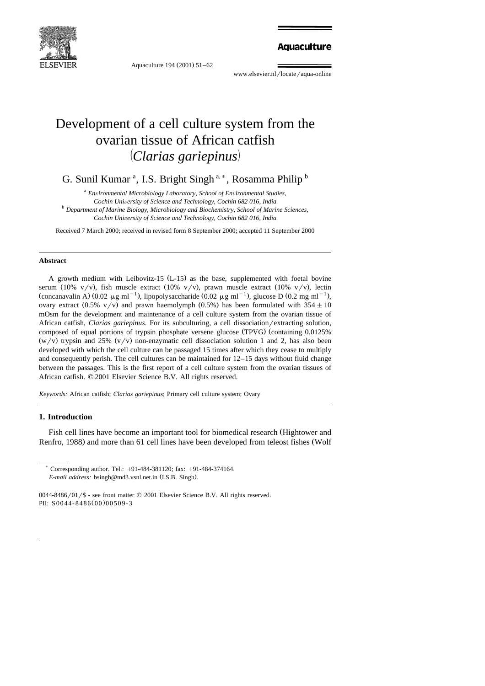

Aquaculture 194 (2001) 51-62

**Aquaculture** 

www.elsevier.nl/locate/aqua-online

# Development of a cell culture system from the ovarian tissue of African catfish ž / *Clarias gariepinus*

G. Sunil Kumar<sup>a</sup>, I.S. Bright Singh<sup>a,\*</sup>, Rosamma Philip<sup>b</sup>

<sup>a</sup> Environmental Microbiology Laboratory, School of Environmental Studies,<br>Cochin University of Science and Technology, Cochin 682 016. India *Cochin Uni*Õ*ersity of Science and Technology, Cochin 682 016, India* <sup>b</sup> *Department of Marine Biology, Microbiology and Biochemistry, School of Marine Sciences, Cochin Uni*Õ*ersity of Science and Technology, Cochin 682 016, India*

Received 7 March 2000; received in revised form 8 September 2000; accepted 11 September 2000

#### **Abstract**

A growth medium with Leibovitz-15  $(L-15)$  as the base, supplemented with foetal bovine serum (10% v/v), fish muscle extract (10% v/v), prawn muscle extract (10% v/v), lectin (concanavalin A)  $(0.02 \mu g \text{ ml}^{-1})$ , lipopolysaccharide  $(0.02 \mu g \text{ ml}^{-1})$ , glucose D  $(0.2 \text{ mg ml}^{-1})$ , ovary extract (0.5% v/v) and prawn haemolymph (0.5%) has been formulated with  $354 \pm 10$ mOsm for the development and maintenance of a cell culture system from the ovarian tissue of African catfish, *Clarias gariepinus*. For its subculturing, a cell dissociation/extracting solution, composed of equal portions of trypsin phosphate versene glucose (TPVG) (containing 0.0125%  $(w/v)$  trypsin and 25%  $(v/v)$  non-enzymatic cell dissociation solution 1 and 2, has also been developed with which the cell culture can be passaged 15 times after which they cease to multiply and consequently perish. The cell cultures can be maintained for 12–15 days without fluid change between the passages. This is the first report of a cell culture system from the ovarian tissues of African catfish.  $© 2001$  Elsevier Science B.V. All rights reserved.

*Keywords:* African catfish; *Clarias gariepinus*; Primary cell culture system; Ovary

## **1. Introduction**

Fish cell lines have become an important tool for biomedical research (Hightower and Renfro, 1988) and more than 61 cell lines have been developed from teleost fishes (Wolf

Corresponding author. Tel.: +91-484-381120; fax: +91-484-374164. *E-mail address:* bsingh@md3.vsnl.net.in (I.S.B. Singh).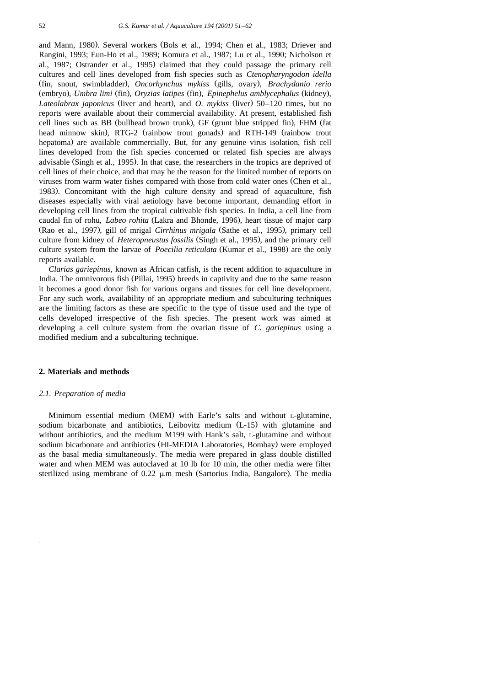and Mann, 1980). Several workers (Bols et al., 1994; Chen et al., 1983; Driever and Rangini, 1993; Eun-Ho et al., 1989; Komura et al., 1987; Lu et al., 1990; Nicholson et al., 1987; Ostrander et al., 1995) claimed that they could passage the primary cell cultures and cell lines developed from fish species such as *Ctenopharyngodon idella* Ž . Ž. fin, snout, swimbladder , *Oncorhynchus mykiss* gills, ovary , *Brachydanio rerio* (embryo), *Umbra limi* (fin), *Oryzias latipes* (fin), *Epinephelus amblycephalus* (kidney), *Lateolabrax japonicus* (liver and heart), and *O. mykiss* (liver) 50–120 times, but no reports were available about their commercial availability. At present, established fish cell lines such as BB (bullhead brown trunk), GF (grunt blue stripped fin), FHM (fat head minnow skin), RTG-2 (rainbow trout gonads) and RTH-149 (rainbow trout hepatoma) are available commercially. But, for any genuine virus isolation, fish cell lines developed from the fish species concerned or related fish species are always advisable (Singh et al., 1995). In that case, the researchers in the tropics are deprived of cell lines of their choice, and that may be the reason for the limited number of reports on viruses from warm water fishes compared with those from cold water ones (Chen et al., 1983). Concomitant with the high culture density and spread of aquaculture, fish diseases especially with viral aetiology have become important, demanding effort in developing cell lines from the tropical cultivable fish species. In India, a cell line from caudal fin of rohu, *Labeo rohita* (Lakra and Bhonde, 1996), heart tissue of major carp (Rao et al., 1997), gill of mrigal *Cirrhinus mrigala* (Sathe et al., 1995), primary cell culture from kidney of *Heteropneustus fossilis* (Singh et al., 1995), and the primary cell culture system from the larvae of *Poecilia reticulata* (Kumar et al., 1998) are the only reports available.

*Clarias gariepinus*, known as African catfish, is the recent addition to aquaculture in India. The omnivorous fish (Pillai, 1995) breeds in captivity and due to the same reason it becomes a good donor fish for various organs and tissues for cell line development. For any such work, availability of an appropriate medium and subculturing techniques are the limiting factors as these are specific to the type of tissue used and the type of cells developed irrespective of the fish species. The present work was aimed at developing a cell culture system from the ovarian tissue of *C. gariepinus* using a modified medium and a subculturing technique.

### **2. Materials and methods**

#### *2.1. Preparation of media*

Minimum essential medium (MEM) with Earle's salts and without L-glutamine, sodium bicarbonate and antibiotics, Leibovitz medium (L-15) with glutamine and without antibiotics, and the medium M199 with Hank's salt, L-glutamine and without sodium bicarbonate and antibiotics (HI-MEDIA Laboratories, Bombay) were employed as the basal media simultaneously. The media were prepared in glass double distilled water and when MEM was autoclaved at 10 lb for 10 min, the other media were filter sterilized using membrane of  $0.22 \mu m$  mesh (Sartorius India, Bangalore). The media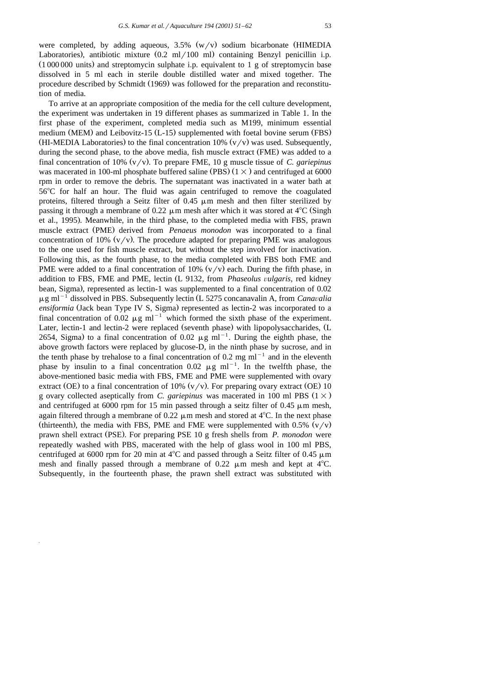were completed, by adding aqueous,  $3.5\%$  (w/v) sodium bicarbonate (HIMEDIA Laboratories), antibiotic mixture  $(0.2 \text{ ml} / 100 \text{ ml})$  containing Benzyl penicillin i.p.  $(1000000 \text{ units})$  and streptomycin sulphate i.p. equivalent to 1 g of streptomycin base dissolved in 5 ml each in sterile double distilled water and mixed together. The procedure described by Schmidt (1969) was followed for the preparation and reconstitution of media.

To arrive at an appropriate composition of the media for the cell culture development, the experiment was undertaken in 19 different phases as summarized in Table 1. In the first phase of the experiment, completed media such as M199, minimum essential medium (MEM) and Leibovitz-15  $(L-15)$  supplemented with foetal bovine serum (FBS) (HI-MEDIA Laboratories) to the final concentration 10% ( $v/v$ ) was used. Subsequently, during the second phase, to the above media, fish muscle extract (FME) was added to a final concentration of 10%  $(v/v)$ . To prepare FME, 10 g muscle tissue of *C. gariepinus* was macerated in 100-ml phosphate buffered saline (PBS)  $(1 \times)$  and centrifuged at 6000 rpm in order to remove the debris. The supernatant was inactivated in a water bath at 568C for half an hour. The fluid was again centrifuged to remove the coagulated proteins, filtered through a Seitz filter of  $0.45 \mu m$  mesh and then filter sterilized by passing it through a membrane of 0.22  $\mu$ m mesh after which it was stored at 4<sup>o</sup>C (Singh et al., 1995). Meanwhile, in the third phase, to the completed media with FBS, prawn muscle extract (PME) derived from *Penaeus monodon* was incorporated to a final concentration of 10%  $(v/v)$ . The procedure adapted for preparing PME was analogous to the one used for fish muscle extract, but without the step involved for inactivation. Following this, as the fourth phase, to the media completed with FBS both FME and PME were added to a final concentration of 10%  $(v/v)$  each. During the fifth phase, in addition to FBS, FME and PME, lectin (L 9132, from *Phaseolus vulgaris*, red kidney bean, Sigma), represented as lectin-1 was supplemented to a final concentration of  $0.02 \mu$ g ml<sup>-1</sup> dissolved in PBS. Subsequently lectin (L 5275 concanavalin A, from *Canavalia ensiformia* (Jack bean Type IV S, Sigma) represented as lectin-2 was incorporated to a final concentration of 0.02  $\mu$ g ml<sup>-1</sup> which formed the sixth phase of the experiment. Later, lectin-1 and lectin-2 were replaced (seventh phase) with lipopolysaccharides, (L 2654, Sigma) to a final concentration of 0.02  $\mu$ g ml<sup>-1</sup>. During the eighth phase, the above growth factors were replaced by glucose-D, in the ninth phase by sucrose, and in the tenth phase by trehalose to a final concentration of 0.2 mg  $ml^{-1}$  and in the eleventh phase by insulin to a final concentration 0.02  $\mu$ g ml<sup>-1</sup>. In the twelfth phase, the above-mentioned basic media with FBS, FME and PME were supplemented with ovary extract (OE) to a final concentration of 10%  $(v/v)$ . For preparing ovary extract (OE) 10 g ovary collected aseptically from *C. gariepinus* was macerated in 100 ml PBS  $(1 \times)$ and centrifuged at 6000 rpm for 15 min passed through a seitz filter of 0.45  $\mu$ m mesh, again filtered through a membrane of 0.22  $\mu$ m mesh and stored at 4<sup>o</sup>C. In the next phase (thirteenth), the media with FBS, PME and FME were supplemented with  $0.5\%$  (v/v) prawn shell extract (PSE). For preparing PSE 10 g fresh shells from P. *monodon* were repeatedly washed with PBS, macerated with the help of glass wool in 100 ml PBS, centrifuged at 6000 rpm for 20 min at  $4^{\circ}$ C and passed through a Seitz filter of 0.45  $\mu$ m mesh and finally passed through a membrane of 0.22  $\mu$ m mesh and kept at 4<sup>o</sup>C. Subsequently, in the fourteenth phase, the prawn shell extract was substituted with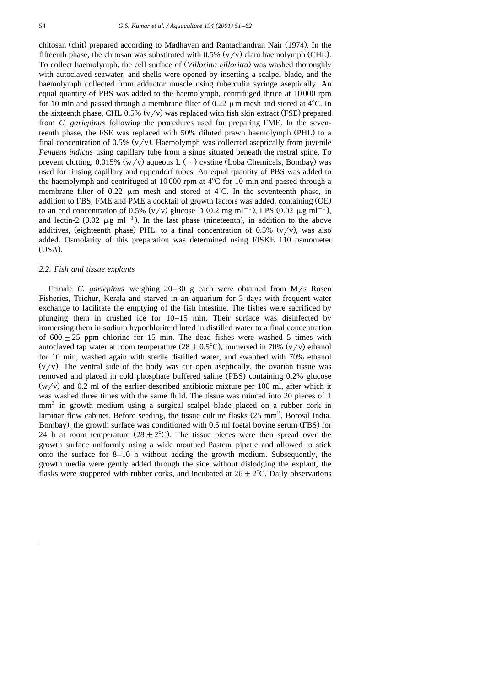chitosan (chit) prepared according to Madhavan and Ramachandran Nair (1974). In the fifteenth phase, the chitosan was substituted with  $0.5\%$  ( $v/v$ ) clam haemolymph (CHL). To collect haemolymph, the cell surface of *(Villoritta villoritta)* was washed thoroughly with autoclaved seawater, and shells were opened by inserting a scalpel blade, and the haemolymph collected from adductor muscle using tuberculin syringe aseptically. An equal quantity of PBS was added to the haemolymph, centrifuged thrice at 10 000 rpm for 10 min and passed through a membrane filter of 0.22  $\mu$ m mesh and stored at 4<sup>o</sup>C. In the sixteenth phase, CHL 0.5%  $(v/v)$  was replaced with fish skin extract (FSE) prepared from *C. gariepinus* following the procedures used for preparing FME. In the seventeenth phase, the FSE was replaced with 50% diluted prawn haemolymph (PHL) to a final concentration of 0.5%  $(v/v)$ . Haemolymph was collected aseptically from juvenile *Penaeus indicus* using capillary tube from a sinus situated beneath the rostral spine. To prevent clotting, 0.015% ( $w/v$ ) aqueous L ( $-$ ) cystine (Loba Chemicals, Bombay) was used for rinsing capillary and eppendorf tubes. An equal quantity of PBS was added to the haemolymph and centrifuged at  $10\,000$  rpm at  $4^{\circ}$ C for 10 min and passed through a membrane filter of 0.22  $\mu$ m mesh and stored at 4°C. In the seventeenth phase, in addition to FBS, FME and PME a cocktail of growth factors was added, containing (OE) to an end concentration of 0.5%  $(v/v)$  glucose D (0.2 mg ml<sup>-1</sup>), LPS (0.02  $\mu$ g ml<sup>-1</sup>), and lectin-2 (0.02  $\mu$ g ml<sup>-1</sup>). In the last phase (nineteenth), in addition to the above additives, (eighteenth phase) PHL, to a final concentration of  $0.5\%$  ( $v/v$ ), was also added. Osmolarity of this preparation was determined using FISKE 110 osmometer  $(USA)$ .

#### *2.2. Fish and tissue explants*

Female *C. gariepinus* weighing 20–30 g each were obtained from M/s Rosen Fisheries, Trichur, Kerala and starved in an aquarium for 3 days with frequent water exchange to facilitate the emptying of the fish intestine. The fishes were sacrificed by plunging them in crushed ice for 10–15 min. Their surface was disinfected by immersing them in sodium hypochlorite diluted in distilled water to a final concentration of  $600 \pm 25$  ppm chlorine for 15 min. The dead fishes were washed 5 times with autoclaved tap water at room temperature  $(28 \pm 0.5^{\circ}C)$ , immersed in 70% (v/v) ethanol for 10 min, washed again with sterile distilled water, and swabbed with 70% ethanol  $(v/v)$ . The ventral side of the body was cut open aseptically, the ovarian tissue was removed and placed in cold phosphate buffered saline (PBS) containing 0.2% glucose  $(w/v)$  and 0.2 ml of the earlier described antibiotic mixture per 100 ml, after which it was washed three times with the same fluid. The tissue was minced into 20 pieces of 1  $mm<sup>3</sup>$  in growth medium using a surgical scalpel blade placed on a rubber cork in laminar flow cabinet. Before seeding, the tissue culture flasks  $(25 \text{ mm}^2, \text{Borosil India},$ Bombay), the growth surface was conditioned with 0.5 ml foetal bovine serum (FBS) for 24 h at room temperature  $(28 + 2^{\circ}C)$ . The tissue pieces were then spread over the growth surface uniformly using a wide mouthed Pasteur pipette and allowed to stick onto the surface for 8–10 h without adding the growth medium. Subsequently, the growth media were gently added through the side without dislodging the explant, the flasks were stoppered with rubber corks, and incubated at  $26 \pm 2^{\circ}C$ . Daily observations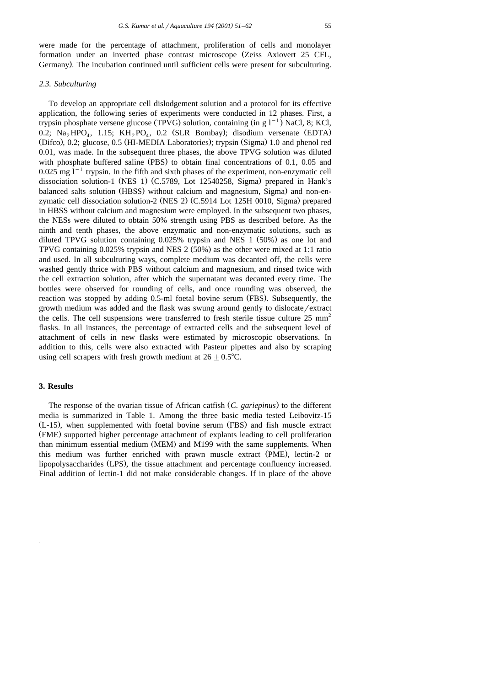were made for the percentage of attachment, proliferation of cells and monolayer formation under an inverted phase contrast microscope (Zeiss Axiovert 25 CFL, Germany). The incubation continued until sufficient cells were present for subculturing.

# *2.3. Subculturing*

To develop an appropriate cell dislodgement solution and a protocol for its effective application, the following series of experiments were conducted in 12 phases. First, a trypsin phosphate versene glucose (TPVG) solution, containing (in g  $1^{-1}$ ) NaCl, 8; KCl, 0.2;  $Na<sub>2</sub> HPO<sub>4</sub>$ , 1.15;  $KH<sub>2</sub>PO<sub>4</sub>$ , 0.2 (SLR Bombay); disodium versenate (EDTA) (Difco), 0.2; glucose, 0.5 (HI-MEDIA Laboratories); trypsin (Sigma) 1.0 and phenol red 0.01, was made. In the subsequent three phases, the above TPVG solution was diluted with phosphate buffered saline  $(PBS)$  to obtain final concentrations of 0.1, 0.05 and 0.025 mg  $1^{-1}$  trypsin. In the fifth and sixth phases of the experiment, non-enzymatic cell dissociation solution-1 (NES 1) (C.5789, Lot 12540258, Sigma) prepared in Hank's balanced salts solution (HBSS) without calcium and magnesium, Sigma) and non-enzymatic cell dissociation solution-2 (NES 2)  $(C.5914$  Lot 125H 0010, Sigma) prepared in HBSS without calcium and magnesium were employed. In the subsequent two phases, the NESs were diluted to obtain 50% strength using PBS as described before. As the ninth and tenth phases, the above enzymatic and non-enzymatic solutions, such as diluted TPVG solution containing  $0.025\%$  trypsin and NES 1 (50%) as one lot and TPVG containing  $0.025\%$  trypsin and NES 2 (50%) as the other were mixed at 1:1 ratio and used. In all subculturing ways, complete medium was decanted off, the cells were washed gently thrice with PBS without calcium and magnesium, and rinsed twice with the cell extraction solution, after which the supernatant was decanted every time. The bottles were observed for rounding of cells, and once rounding was observed, the reaction was stopped by adding 0.5-ml foetal bovine serum (FBS). Subsequently, the growth medium was added and the flask was swung around gently to dislocate/extract the cells. The cell suspensions were transferred to fresh sterile tissue culture  $25 \text{ mm}^2$ flasks. In all instances, the percentage of extracted cells and the subsequent level of attachment of cells in new flasks were estimated by microscopic observations. In addition to this, cells were also extracted with Pasteur pipettes and also by scraping using cell scrapers with fresh growth medium at  $26 \pm 0.5^{\circ}\text{C}$ .

#### **3. Results**

The response of the ovarian tissue of African catfish (C. *gariepinus*) to the different media is summarized in Table 1. Among the three basic media tested Leibovitz-15  $(L-15)$ , when supplemented with foetal bovine serum (FBS) and fish muscle extract (FME) supported higher percentage attachment of explants leading to cell proliferation than minimum essential medium (MEM) and M199 with the same supplements. When this medium was further enriched with prawn muscle extract (PME), lectin-2 or lipopolysaccharides (LPS), the tissue attachment and percentage confluency increased. Final addition of lectin-1 did not make considerable changes. If in place of the above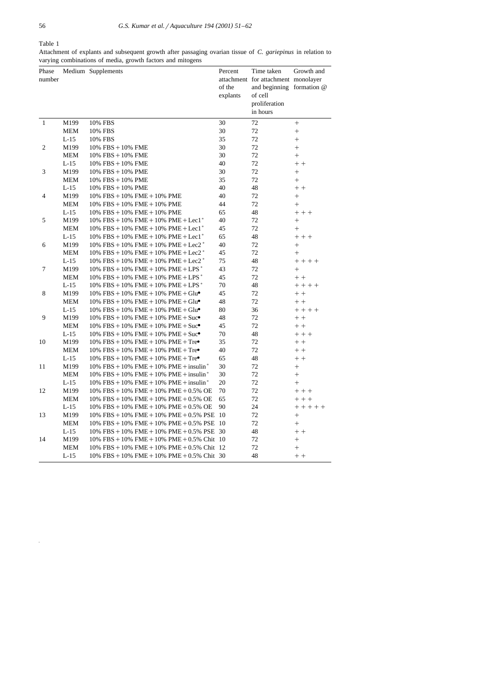Table 1

Attachment of explants and subsequent growth after passaging ovarian tissue of *C. gariepinus* in relation to varying combinations of media, growth factors and mitogens

| Phase          |            | Medium Supplements                                                  | Percent  | Time taken                          | Growth and  |
|----------------|------------|---------------------------------------------------------------------|----------|-------------------------------------|-------------|
| number         |            |                                                                     |          | attachment for attachment monolayer |             |
|                |            |                                                                     | of the   | and beginning formation @           |             |
|                |            |                                                                     | explants | of cell                             |             |
|                |            |                                                                     |          | proliferation                       |             |
|                |            |                                                                     |          | in hours                            |             |
| $\mathbf{1}$   | M199       | 10% FBS                                                             | 30       | 72                                  | $+$         |
|                | <b>MEM</b> | 10% FBS                                                             | 30       | 72                                  | $^{+}$      |
|                | $L-15$     | 10% FBS                                                             | 35       | 72                                  | $^{+}$      |
| $\mathfrak{2}$ | M199       | $10\%$ FBS + $10\%$ FME                                             | 30       | 72                                  | $^{+}$      |
|                | <b>MEM</b> | 10% FBS + 10% FME                                                   | 30       | 72                                  | $\ddot{}$   |
|                | $L-15$     | $10\%$ FBS + $10\%$ FME                                             | 40       | 72                                  | $+ +$       |
| 3              | M199       | $10\%$ FBS + $10\%$ PME                                             | 30       | 72                                  | $+$         |
|                | MEM        | 10% FBS + 10% PME                                                   | 35       | 72                                  | $+$         |
|                | $L-15$     | 10% FBS + 10% PME                                                   | 40       | 48                                  | $+ +$       |
| 4              | M199       | $10\%$ FBS + $10\%$ FME + $10\%$ PME                                | 40       | 72                                  | $\ddag$     |
|                | <b>MEM</b> | $10\%$ FBS + $10\%$ FME + $10\%$ PME                                | 44       | 72                                  | $+$         |
|                | $L-15$     | $10\%$ FBS + $10\%$ FME + $10\%$ PME                                | 65       | 48                                  | $++ +$      |
| 5              | M199       | $10\%$ FBS + $10\%$ FME + $10\%$ PME + Lec1 <sup>*</sup>            | 40       | 72                                  | $^{+}$      |
|                | <b>MEM</b> | 10% FBS + 10% FME + 10% PME + Lec1 <sup>*</sup>                     | 45       | 72                                  | $+$         |
|                | $L-15$     | 10% FBS + 10% FME + 10% PME + Lec1 <sup>*</sup>                     | 65       | 48                                  | $+ + +$     |
| 6              | M199       | $10\%$ FBS + $10\%$ FME + $10\%$ PME + Lec2 $*$                     | 40       | 72                                  | $\ddot{}$   |
|                | MEM        | 10% FBS + 10% FME + 10% PME + Lec2 $*$                              | 45       | 72                                  | $+$         |
|                | $L-15$     | 10% FBS + 10% FME + 10% PME + Lec2 $*$                              | 75       | 48                                  | $+ + + +$   |
| 7              | M199       | 10% FBS + 10% FME + 10% PME + LPS $*$                               | 43       | 72                                  | $+$         |
|                | MEM        | 10% FBS + 10% FME + 10% PME + LPS $*$                               | 45       | 72                                  | $+ +$       |
|                | $L-15$     | 10% FBS + 10% FME + 10% PME + LPS $*$                               | 70       | 48                                  | $+ + + +$   |
| 8              | M199       | $10\%$ FBS + $10\%$ FME + $10\%$ PME + Glu $\bullet$                | 45       | 72                                  | $++$        |
|                | <b>MEM</b> | $10\%$ FBS + $10\%$ FME + $10\%$ PME + Glu $\bullet$                | 48       | 72                                  | $+ +$       |
|                | $L-15$     | $10\%$ FBS + $10\%$ FME + $10\%$ PME + Glu $\bullet$                | 80       | 36                                  | $+ + + +$   |
| 9              | M199       | $10\%$ FBS + $10\%$ FME + $10\%$ PME + Suc $\bullet$                | 48       | 72                                  | $+ +$       |
|                | MEM        | 10% FBS + 10% FME + 10% PME + $Suc$ <sup><math>\bullet</math></sup> | 45       | 72                                  | $+ +$       |
|                | $L-15$     | $10\%$ FBS + $10\%$ FME + $10\%$ PME + Suc $\bullet$                | 70       | 48                                  | $++ +$      |
| 10             | M199       | 10% FBS + 10% FME + 10% PME + Tre $\bullet$                         | 35       | 72                                  | $+ +$       |
|                | MEM        | $10\%$ FBS + $10\%$ FME + $10\%$ PME + Tre                          | 40       | 72                                  | $+ +$       |
|                | $L-15$     | 10% FBS + 10% FME + 10% PME + Tre $\bullet$                         | 65       | 48                                  | $+ +$       |
| 11             | M199       | $10\%$ FBS + 10% FME + 10% PME + insulin*                           | 30       | 72                                  | $^{+}$      |
|                | MEM        | $10\%$ FBS + $10\%$ FME + $10\%$ PME + insulin <sup>*</sup>         | 30       | 72                                  | $^{+}$      |
|                | $L-15$     | 10% FBS + 10% FME + 10% PME + insulin*                              | 20       | 72                                  | $^{+}$      |
| 12             | M199       | $10\%$ FBS + $10\%$ FME + $10\%$ PME + $0.5\%$ OE                   | 70       | 72                                  | $++ +$      |
|                | <b>MEM</b> | $10\%$ FBS + $10\%$ FME + $10\%$ PME + 0.5% OE                      | 65       | 72                                  | $++ +$      |
|                | $L-15$     | $10\%$ FBS + $10\%$ FME + $10\%$ PME + 0.5% OE                      | 90       | 24                                  | $+ + + + +$ |
| 13             | M199       | $10\%$ FBS + $10\%$ FME + $10\%$ PME + 0.5% PSE 10                  |          | 72                                  | $^{+}$      |
|                | MEM        | 10% FBS + 10% FME + 10% PME + 0.5% PSE 10                           |          | 72                                  | $+$         |
|                | L-15       | 10% FBS + 10% FME + 10% PME + 0.5% PSE 30                           |          | 48                                  | $+ +$       |
| 14             | M199       | 10% FBS + 10% FME + 10% PME + 0.5% Chit 10                          |          | 72                                  | $^{+}$      |
|                | MEM        | 10% FBS + 10% FME + 10% PME + 0.5% Chit 12                          |          | 72                                  | $^{+}$      |
|                | $L-15$     | 10% FBS + 10% FME + 10% PME + 0.5% Chit 30                          |          | 48                                  | $+ +$       |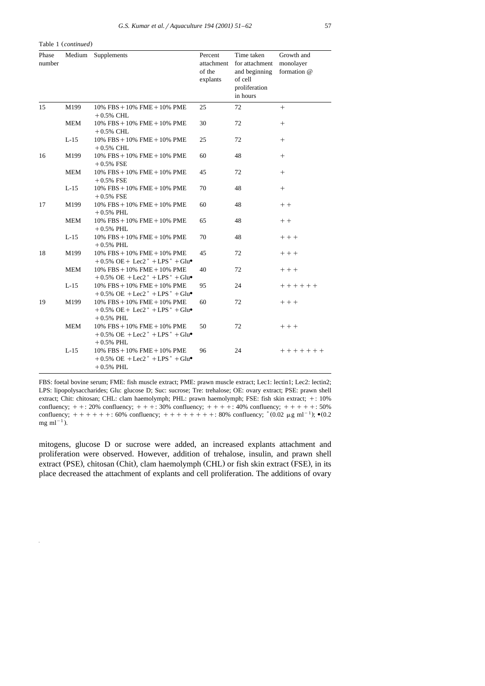Table 1 (continued)

| Phase<br>number |            | Medium Supplements                                                                                                               | Percent<br>attachment<br>of the<br>explants | Time taken<br>for attachment<br>and beginning<br>of cell<br>proliferation<br>in hours | Growth and<br>monolayer<br>formation @ |
|-----------------|------------|----------------------------------------------------------------------------------------------------------------------------------|---------------------------------------------|---------------------------------------------------------------------------------------|----------------------------------------|
| 15              | M199       | $10\%$ FBS + $10\%$ FME + $10\%$ PME<br>$+0.5\%$ CHL                                                                             | 25                                          | 72                                                                                    | $+$                                    |
|                 | <b>MEM</b> | $10\%$ FBS + $10\%$ FME + $10\%$ PME<br>$+0.5\%$ CHL                                                                             | 30                                          | 72                                                                                    | $^{+}$                                 |
|                 | $L-15$     | $10\%$ FBS + $10\%$ FME + $10\%$ PME<br>$+0.5\%$ CHL                                                                             | 25                                          | 72                                                                                    | $+$                                    |
| 16              | M199       | $10\%$ FBS + $10\%$ FME + $10\%$ PME<br>$+0.5%$ FSE                                                                              | 60                                          | 48                                                                                    | $^{+}$                                 |
|                 | <b>MEM</b> | $10\%$ FBS + $10\%$ FME + $10\%$ PME<br>$+0.5%$ FSE                                                                              | 45                                          | 72                                                                                    | $+$                                    |
|                 | $L-15$     | $10\%$ FBS + $10\%$ FME + $10\%$ PME<br>$+0.5%$ FSE                                                                              | 70                                          | 48                                                                                    | $^{+}$                                 |
| 17              | M199       | $10\%$ FBS + $10\%$ FME + $10\%$ PME<br>$+0.5\%$ PHL                                                                             | 60                                          | 48                                                                                    | $+ +$                                  |
|                 | <b>MEM</b> | $10\%$ $\text{FBS} + 10\%$ $\text{FME} + 10\%$ $\text{PME}$<br>$+0.5\%$ PHL                                                      | 65                                          | 48                                                                                    | $++$                                   |
|                 | $L-15$     | $10\%$ FBS + $10\%$ FME + $10\%$ PME<br>$+0.5\%$ PHL                                                                             | 70                                          | 48                                                                                    | $+++$                                  |
| 18              | M199       | $10\%$ FBS + $10\%$ FME + $10\%$ PME<br>$+0.5\%$ OE + Lec2 <sup>*</sup> + LPS <sup>*</sup> + Glu•                                | 45                                          | 72                                                                                    | $+++$                                  |
|                 | <b>MEM</b> | $10\%$ FBS + $10\%$ FME + $10\%$ PME<br>$+0.5\%$ OE $+$ Lec2 <sup>*</sup> $+$ LPS <sup>*</sup> $+$ Glu $\bullet$                 | 40                                          | 72                                                                                    | $++ +$                                 |
|                 | $L-15$     | $10\%$ FBS + $10\%$ FME + $10\%$ PME<br>$+0.5\%$ OE $+$ Lec2 <sup>*</sup> $+$ LPS <sup>*</sup> $+$ Glu $\bullet$                 | 95                                          | 24                                                                                    | $+ + + + + +$                          |
| 19              | M199       | $10\%$ FBS + $10\%$ FME + $10\%$ PME<br>$+0.5\%$ OE + Lec2 <sup>*</sup> + LPS <sup>*</sup> + Glu•<br>$+0.5\%$ PHL                | 60                                          | 72                                                                                    | $++$                                   |
|                 | <b>MEM</b> | $10\%$ FBS + $10\%$ FME + $10\%$ PME<br>$+0.5\%$ OE $+$ Lec2 <sup>*</sup> $+$ LPS <sup>*</sup> $+$ Glu $\bullet$<br>$+0.5\%$ PHL | 50                                          | 72                                                                                    | $++$                                   |
|                 | $L-15$     | $10\%$ FBS + $10\%$ FME + $10\%$ PME<br>$+0.5\%$ OE $+$ Lec2 <sup>*</sup> $+$ LPS <sup>*</sup> $+$ Glu $\bullet$<br>$+0.5\%$ PHL | 96                                          | 24                                                                                    | $+ + + + + + +$                        |

LPS: lipopolysaccharides; Glu: glucose D; Suc: sucrose; Tre: trehalose; OE: ovary extract; PSE: prawn shell extract; Chit: chitosan; CHL: clam haemolymph; PHL: prawn haemolymph; FSE: fish skin extract; +: 10% confluency;  $+ + : 20\%$  confluency;  $+ + : 30\%$  confluency;  $+ + + : 40\%$  confluency;  $+ + + + : 50\%$  confluency;  $*(0.02 \mu g ml^{-1})$ ;  $*(0.2 \text{ mg ml}^{-1})$ .

FBS: foetal bovine serum; FME: fish muscle extract; PME: prawn muscle extract; Lec1: lectin1; Lec2: lectin2;

mitogens, glucose D or sucrose were added, an increased explants attachment and proliferation were observed. However, addition of trehalose, insulin, and prawn shell extract (PSE), chitosan (Chit), clam haemolymph (CHL) or fish skin extract (FSE), in its place decreased the attachment of explants and cell proliferation. The additions of ovary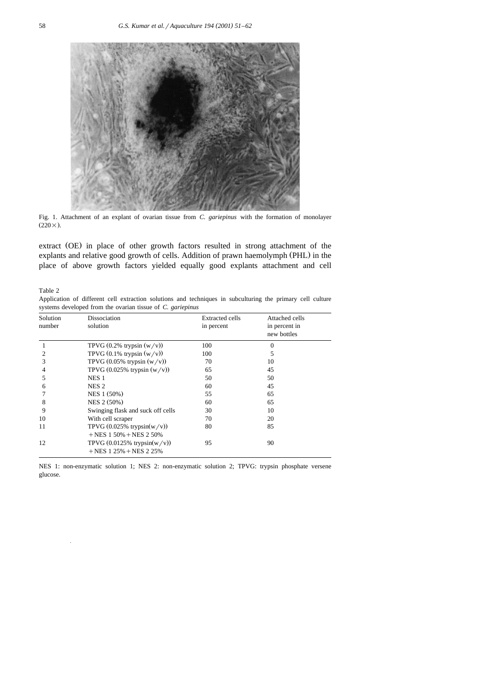

Fig. 1. Attachment of an explant of ovarian tissue from *C. gariepinus* with the formation of monolayer  $(220\times)$ .

extract (OE) in place of other growth factors resulted in strong attachment of the explants and relative good growth of cells. Addition of prawn haemolymph (PHL) in the place of above growth factors yielded equally good explants attachment and cell

Table 2

Application of different cell extraction solutions and techniques in subculturing the primary cell culture systems developed from the ovarian tissue of *C. gariepinus*

| Solution<br>number | Dissociation<br>solution                                      | <b>Extracted cells</b><br>in percent | Attached cells<br>in percent in<br>new bottles |
|--------------------|---------------------------------------------------------------|--------------------------------------|------------------------------------------------|
|                    | TPVG $(0.2\%$ trypsin $(w/v)$ )                               | 100                                  | $\Omega$                                       |
| 2                  | TPVG $(0.1\%$ trypsin $(w/v))$                                | 100                                  | 5                                              |
| 3                  | TPVG $(0.05\%$ trypsin $(w/v))$                               | 70                                   | 10                                             |
| 4                  | TPVG $(0.025\%$ trypsin $(w/v)$                               | 65                                   | 45                                             |
| 5                  | NES <sub>1</sub>                                              | 50                                   | 50                                             |
| 6                  | NES <sub>2</sub>                                              | 60                                   | 45                                             |
|                    | NES 1 (50%)                                                   | 55                                   | 65                                             |
| 8                  | NES 2 (50%)                                                   | 60                                   | 65                                             |
| 9                  | Swinging flask and suck off cells                             | 30                                   | 10                                             |
| 10                 | With cell scraper                                             | 70                                   | 20                                             |
| 11                 | TPVG $(0.025\%$ trypsin(w/v))<br>$+$ NES 1 50% $+$ NES 2 50%  | 80                                   | 85                                             |
| 12                 | TPVG $(0.0125\%$ trypsin(w/v))<br>$+$ NES 1 25% $+$ NES 2 25% | 95                                   | 90                                             |

NES 1: non-enzymatic solution 1; NES 2: non-enzymatic solution 2; TPVG: trypsin phosphate versene glucose.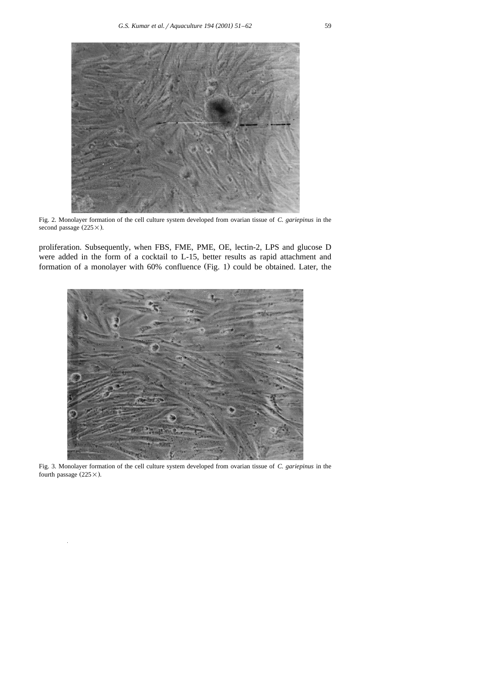Fig. 2. Monolayer formation of the cell culture system developed from ovarian tissue of *C. gariepinus* in the second passage  $(225 \times)$ .

proliferation. Subsequently, when FBS, FME, PME, OE, lectin-2, LPS and glucose D were added in the form of a cocktail to L-15, better results as rapid attachment and formation of a monolayer with 60% confluence (Fig. 1) could be obtained. Later, the



Fig. 3. Monolayer formation of the cell culture system developed from ovarian tissue of *C. gariepinus* in the fourth passage  $(225 \times)$ .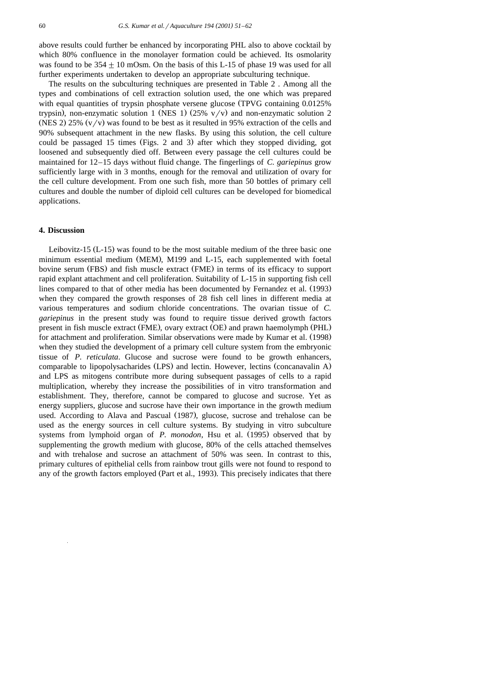above results could further be enhanced by incorporating PHL also to above cocktail by which 80% confluence in the monolayer formation could be achieved. Its osmolarity was found to be  $354 \pm 10$  mOsm. On the basis of this L-15 of phase 19 was used for all further experiments undertaken to develop an appropriate subculturing technique.

The results on the subculturing techniques are presented in Table 2 . Among all the types and combinations of cell extraction solution used, the one which was prepared with equal quantities of trypsin phosphate versene glucose  $(TPVG \text{ containing } 0.0125\%)$ trypsin), non-enzymatic solution 1 (NES 1)  $(25\% \text{ v/v})$  and non-enzymatic solution 2 (NES 2) 25%  $(v/v)$  was found to be best as it resulted in 95% extraction of the cells and 90% subsequent attachment in the new flasks. By using this solution, the cell culture could be passaged 15 times (Figs. 2 and 3) after which they stopped dividing, got loosened and subsequently died off. Between every passage the cell cultures could be maintained for 12–15 days without fluid change. The fingerlings of *C. gariepinus* grow sufficiently large with in 3 months, enough for the removal and utilization of ovary for the cell culture development. From one such fish, more than 50 bottles of primary cell cultures and double the number of diploid cell cultures can be developed for biomedical applications.

## **4. Discussion**

Leibovitz-15  $(L-15)$  was found to be the most suitable medium of the three basic one minimum essential medium (MEM), M199 and L-15, each supplemented with foetal bovine serum (FBS) and fish muscle extract (FME) in terms of its efficacy to support rapid explant attachment and cell proliferation. Suitability of L-15 in supporting fish cell lines compared to that of other media has been documented by Fernandez et al. (1993) when they compared the growth responses of 28 fish cell lines in different media at various temperatures and sodium chloride concentrations. The ovarian tissue of *C. gariepinus* in the present study was found to require tissue derived growth factors present in fish muscle extract (FME), ovary extract (OE) and prawn haemolymph (PHL) for attachment and proliferation. Similar observations were made by Kumar et al. (1998) when they studied the development of a primary cell culture system from the embryonic tissue of *P. reticulata*. Glucose and sucrose were found to be growth enhancers, comparable to lipopolysacharides (LPS) and lectin. However, lectins (concanavalin A) and LPS as mitogens contribute more during subsequent passages of cells to a rapid multiplication, whereby they increase the possibilities of in vitro transformation and establishment. They, therefore, cannot be compared to glucose and sucrose. Yet as energy suppliers, glucose and sucrose have their own importance in the growth medium used. According to Alava and Pascual (1987), glucose, sucrose and trehalose can be used as the energy sources in cell culture systems. By studying in vitro subculture systems from lymphoid organ of *P. monodon*, Hsu et al. (1995) observed that by supplementing the growth medium with glucose, 80% of the cells attached themselves and with trehalose and sucrose an attachment of 50% was seen. In contrast to this, primary cultures of epithelial cells from rainbow trout gills were not found to respond to any of the growth factors employed (Part et al., 1993). This precisely indicates that there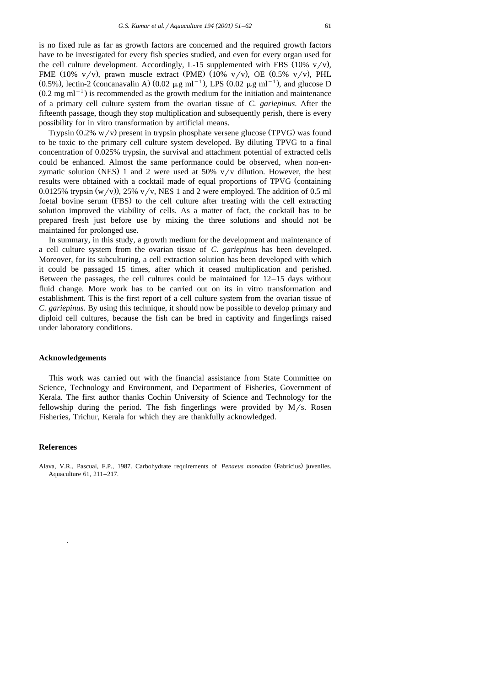is no fixed rule as far as growth factors are concerned and the required growth factors have to be investigated for every fish species studied, and even for every organ used for the cell culture development. Accordingly, L-15 supplemented with FBS  $(10\% \text{ v/v}),$ FME (10%  $v/v$ ), prawn muscle extract (PME) (10%  $v/v$ ), OE (0.5%  $v/v$ ), PHL  $(0.5\%)$ , lectin-2 (concanavalin A)  $(0.02 \mu g \text{ ml}^{-1})$ , LPS  $(0.02 \mu g \text{ ml}^{-1})$ , and glucose D  $(0.2 \text{ mg ml}^{-1})$  is recommended as the growth medium for the initiation and maintenance of a primary cell culture system from the ovarian tissue of *C. gariepinus*. After the fifteenth passage, though they stop multiplication and subsequently perish, there is every possibility for in vitro transformation by artificial means.

Trypsin  $(0.2\% \text{ w/v})$  present in trypsin phosphate versene glucose (TPVG) was found to be toxic to the primary cell culture system developed. By diluting TPVG to a final concentration of 0.025% trypsin, the survival and attachment potential of extracted cells could be enhanced. Almost the same performance could be observed, when non-enzymatic solution (NES) 1 and 2 were used at  $50\%$  v/v dilution. However, the best results were obtained with a cocktail made of equal proportions of TPVG (containing 0.0125% trypsin  $(w/v)$ , 25%  $v/v$ , NES 1 and 2 were employed. The addition of 0.5 ml foetal bovine serum (FBS) to the cell culture after treating with the cell extracting solution improved the viability of cells. As a matter of fact, the cocktail has to be prepared fresh just before use by mixing the three solutions and should not be maintained for prolonged use.

In summary, in this study, a growth medium for the development and maintenance of a cell culture system from the ovarian tissue of *C. gariepinus* has been developed. Moreover, for its subculturing, a cell extraction solution has been developed with which it could be passaged 15 times, after which it ceased multiplication and perished. Between the passages, the cell cultures could be maintained for 12–15 days without fluid change. More work has to be carried out on its in vitro transformation and establishment. This is the first report of a cell culture system from the ovarian tissue of *C. gariepinus*. By using this technique, it should now be possible to develop primary and diploid cell cultures, because the fish can be bred in captivity and fingerlings raised under laboratory conditions.

#### **Acknowledgements**

This work was carried out with the financial assistance from State Committee on Science, Technology and Environment, and Department of Fisheries, Government of Kerala. The first author thanks Cochin University of Science and Technology for the fellowship during the period. The fish fingerlings were provided by  $M/s$ . Rosen Fisheries, Trichur, Kerala for which they are thankfully acknowledged.

## **References**

Alava, V.R., Pascual, F.P., 1987. Carbohydrate requirements of *Penaeus monodon* (Fabricius) juveniles. Aquaculture 61, 211–217.